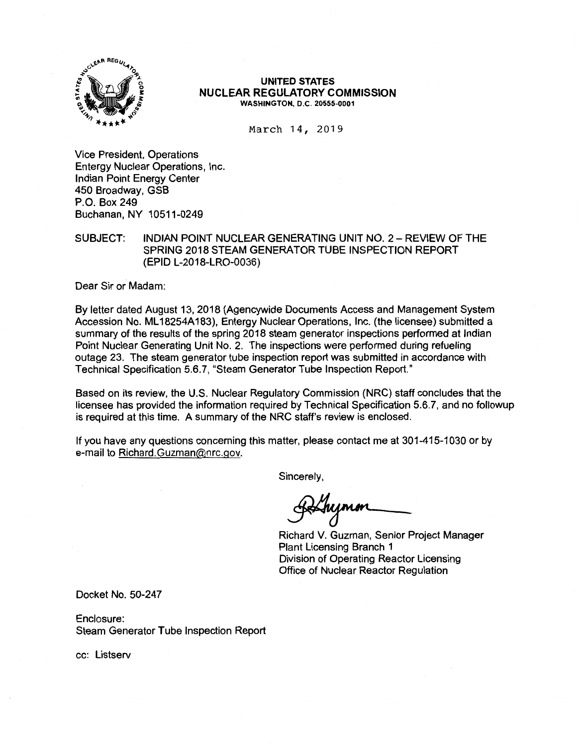

#### **UNITED STATES NUCLEAR REGULATORY COMMISSION WASHINGTON, D.C. 20555-0001**

March 14, 2019

Vice President, Operations Entergy Nuclear Operations, Inc. Indian Point Energy Center 450 Broadway, GSB P.O. Box 249 Buchanan, NY 10511-0249

SUBJECT: INDIAN POINT NUCLEAR GENERATING UNIT NO. 2 - REVIEW OF THE SPRING 2018 STEAM GENERATOR TUBE INSPECTION REPORT (EPID L-2018-LR0-0036)

Dear Sir or Madam:

By letter dated August 13, 2018 (Agencywide Documents Access and Management System Accession No. ML 18254A183), Entergy Nuclear Operations, Inc. (the licensee) submitted a summary of the results of the spring 2018 steam generator inspections performed at Indian Point Nuclear Generating Unit No. 2. The inspections were performed during refueling outage 23. The steam generator tube inspection report was submitted in accordance with Technical Specification 5.6. 7, "Steam Generator Tube Inspection Report."

Based on its review, the U.S. Nuclear Regulatory Commission (NRC) staff concludes that the licensee has provided the information required by Technical Specification 5.6.7, and no followup is required at this time. A summary of the NRC staff's review is enclosed.

If you have any questions concerning this matter, please contact me at 301-415-1030 or by e-mail to Richard.Guzman@nrc.gov.

Sincerely,

Richard V. Guzman, Senior Project Manager Plant Licensing Branch 1 Division of Operating Reactor Licensing Office of Nuclear Reactor Regulation

Docket No. 50-247

Enclosure: Steam Generator Tube Inspection Report

cc: Listserv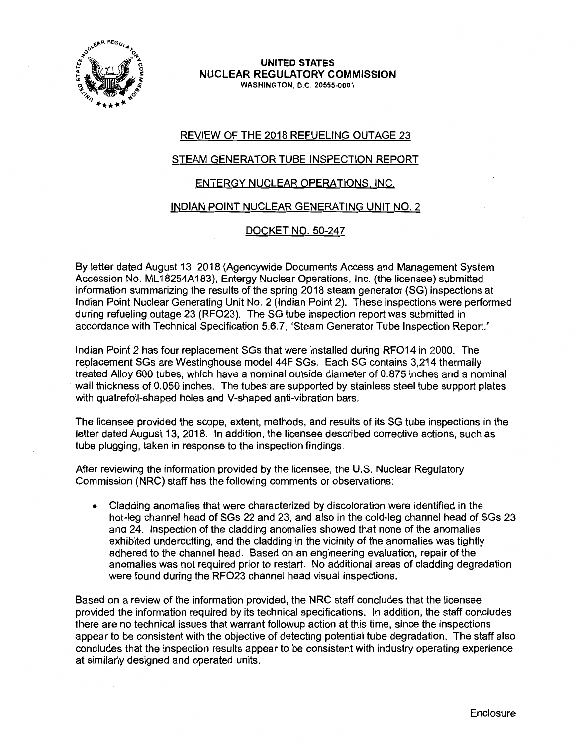

#### **UNITED STATES NUCLEAR REGULATORY COMMISSION WASHINGTON,** D.C. **20555-0001**

# REVIEW OF THE 2018 REFUELING OUTAGE 23

## STEAM GENERATOR TUBE INSPECTION REPORT

# ENTERGY NUCLEAR OPERATIONS. INC.

#### INDIAN POINT NUCLEAR GENERATING UNIT NO. 2

#### DOCKET NO. 50-247

By letter dated August 13, 2018 (Agencywide Documents Access and Management System Accession No. ML 18254A183), Entergy Nuclear Operations, Inc. (the licensee) submitted information summarizing the results of the spring 2018 steam generator (SG) inspections at Indian Point Nuclear Generating Unit No. 2 (Indian Point 2). These inspections were performed during refueling outage 23 (RF023). The SG tube inspection report was submitted in accordance with Technical Specification 5.6.7, "Steam Generator Tube Inspection Report."

Indian Point 2 has four replacement SGs that were installed during RF014 in 2000. The replacement SGs are Westinghouse model 44F SGs. Each SG contains 3,214 thermally treated Alloy 600 tubes, which have a nominal outside diameter of 0.875 inches and a nominal wall thickness of 0.050 inches. The tubes are supported by stainless steel tube support plates with quatrefoil-shaped holes and V-shaped anti-vibration bars.

The licensee provided the scope, extent, methods, and results of its SG tube inspections in the letter dated August 13, 2018. In addition, the licensee described corrective actions, such as tube plugging, taken in response to the inspection findings.

After reviewing the information provided by the licensee, the U.S. Nuclear Regulatory Commission (NRC) staff has the following comments or observations:

• Cladding anomalies that were characterized by discoloration were identified in the hot-leg channel head of SGs 22 and 23, and also in the cold-leg channel head of SGs 23 and 24. Inspection of the cladding anomalies showed that none of the anomalies exhibited undercutting, and the cladding in the vicinity of the anomalies was tightly adhered to the channel head. Based on an engineering evaluation, repair of the anomalies was not required prior to restart. No additional areas of cladding degradation were found during the RF023 channel head visual inspections.

Based on a review of the information provided, the NRC staff concludes that the licensee provided the information required by its technical specifications. In addition, the staff concludes there are no technical issues that warrant followup action at this time, since the inspections appear to be consistent with the objective of detecting potential tube degradation. The staff also concludes that the inspection results appear to be consistent with industry operating experience at similarly designed and operated units.